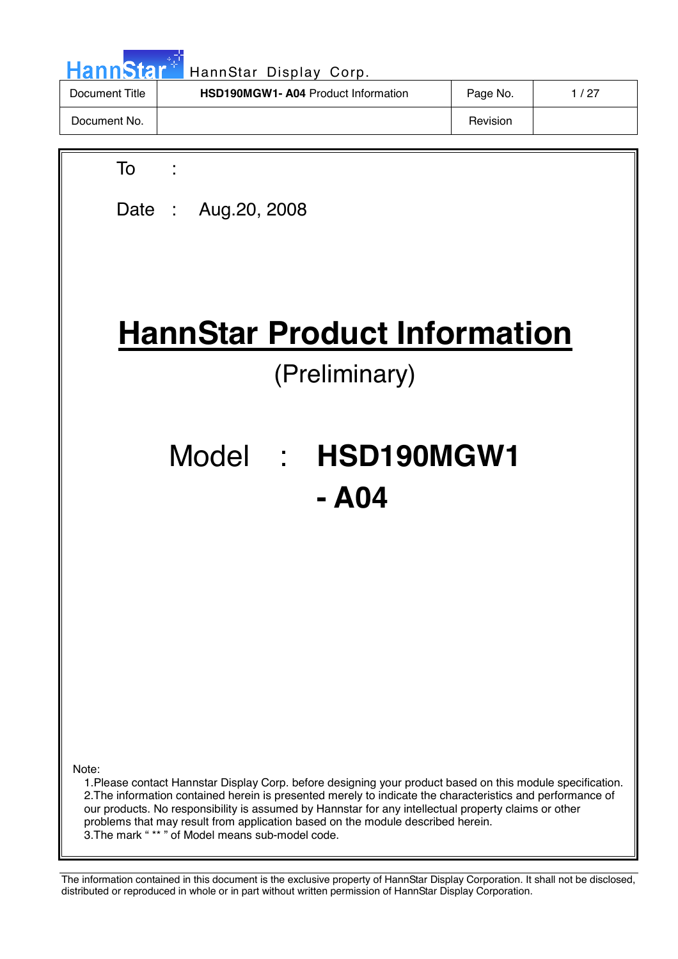| HannStar <sup>*</sup> | HannStar Display Corp.                    |          |        |
|-----------------------|-------------------------------------------|----------|--------|
| Document Title        | <b>HSD190MGW1-A04 Product Information</b> | Page No. | 1 / 27 |
| Document No.          |                                           | Revision |        |

| To                                                                                                                                                                                                                                                                                                                                                                                                                                                                               |
|----------------------------------------------------------------------------------------------------------------------------------------------------------------------------------------------------------------------------------------------------------------------------------------------------------------------------------------------------------------------------------------------------------------------------------------------------------------------------------|
| Date: Aug. 20, 2008                                                                                                                                                                                                                                                                                                                                                                                                                                                              |
|                                                                                                                                                                                                                                                                                                                                                                                                                                                                                  |
|                                                                                                                                                                                                                                                                                                                                                                                                                                                                                  |
| <b>HannStar Product Information</b>                                                                                                                                                                                                                                                                                                                                                                                                                                              |
| (Preliminary)                                                                                                                                                                                                                                                                                                                                                                                                                                                                    |
|                                                                                                                                                                                                                                                                                                                                                                                                                                                                                  |
| Model : HSD190MGW1                                                                                                                                                                                                                                                                                                                                                                                                                                                               |
| - A04                                                                                                                                                                                                                                                                                                                                                                                                                                                                            |
|                                                                                                                                                                                                                                                                                                                                                                                                                                                                                  |
|                                                                                                                                                                                                                                                                                                                                                                                                                                                                                  |
|                                                                                                                                                                                                                                                                                                                                                                                                                                                                                  |
|                                                                                                                                                                                                                                                                                                                                                                                                                                                                                  |
|                                                                                                                                                                                                                                                                                                                                                                                                                                                                                  |
|                                                                                                                                                                                                                                                                                                                                                                                                                                                                                  |
| Note:<br>1. Please contact Hannstar Display Corp. before designing your product based on this module specification.<br>2. The information contained herein is presented merely to indicate the characteristics and performance of<br>our products. No responsibility is assumed by Hannstar for any intellectual property claims or other<br>problems that may result from application based on the module described herein.<br>3. The mark "** " of Model means sub-model code. |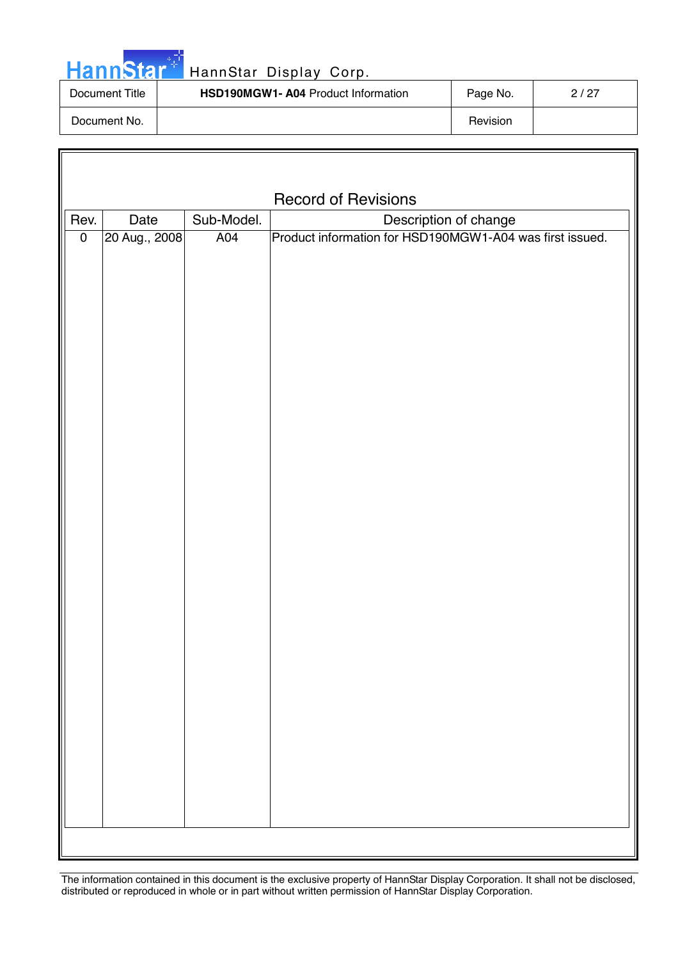| HannStar <sup>*</sup> | HannStar Display Corp.                    |          |      |
|-----------------------|-------------------------------------------|----------|------|
| Document Title        | <b>HSD190MGW1-A04 Product Information</b> | Page No. | 2/27 |
| Document No.          |                                           | Revision |      |

Г

| <b>Record of Revisions</b> |                                             |     |                                                          |  |  |  |
|----------------------------|---------------------------------------------|-----|----------------------------------------------------------|--|--|--|
| Rev.                       | Sub-Model.<br>Description of change<br>Date |     |                                                          |  |  |  |
| $\pmb{0}$                  | 20 Aug., 2008                               | A04 | Product information for HSD190MGW1-A04 was first issued. |  |  |  |
|                            |                                             |     |                                                          |  |  |  |
|                            |                                             |     |                                                          |  |  |  |
|                            |                                             |     |                                                          |  |  |  |
|                            |                                             |     |                                                          |  |  |  |
|                            |                                             |     |                                                          |  |  |  |
|                            |                                             |     |                                                          |  |  |  |
|                            |                                             |     |                                                          |  |  |  |
|                            |                                             |     |                                                          |  |  |  |
|                            |                                             |     |                                                          |  |  |  |
|                            |                                             |     |                                                          |  |  |  |
|                            |                                             |     |                                                          |  |  |  |
|                            |                                             |     |                                                          |  |  |  |
|                            |                                             |     |                                                          |  |  |  |
|                            |                                             |     |                                                          |  |  |  |
|                            |                                             |     |                                                          |  |  |  |
|                            |                                             |     |                                                          |  |  |  |
|                            |                                             |     |                                                          |  |  |  |
|                            |                                             |     |                                                          |  |  |  |
|                            |                                             |     |                                                          |  |  |  |
|                            |                                             |     |                                                          |  |  |  |
|                            |                                             |     |                                                          |  |  |  |
|                            |                                             |     |                                                          |  |  |  |
|                            |                                             |     |                                                          |  |  |  |
|                            |                                             |     |                                                          |  |  |  |
|                            |                                             |     |                                                          |  |  |  |
|                            |                                             |     |                                                          |  |  |  |
|                            |                                             |     |                                                          |  |  |  |
|                            |                                             |     |                                                          |  |  |  |
|                            |                                             |     |                                                          |  |  |  |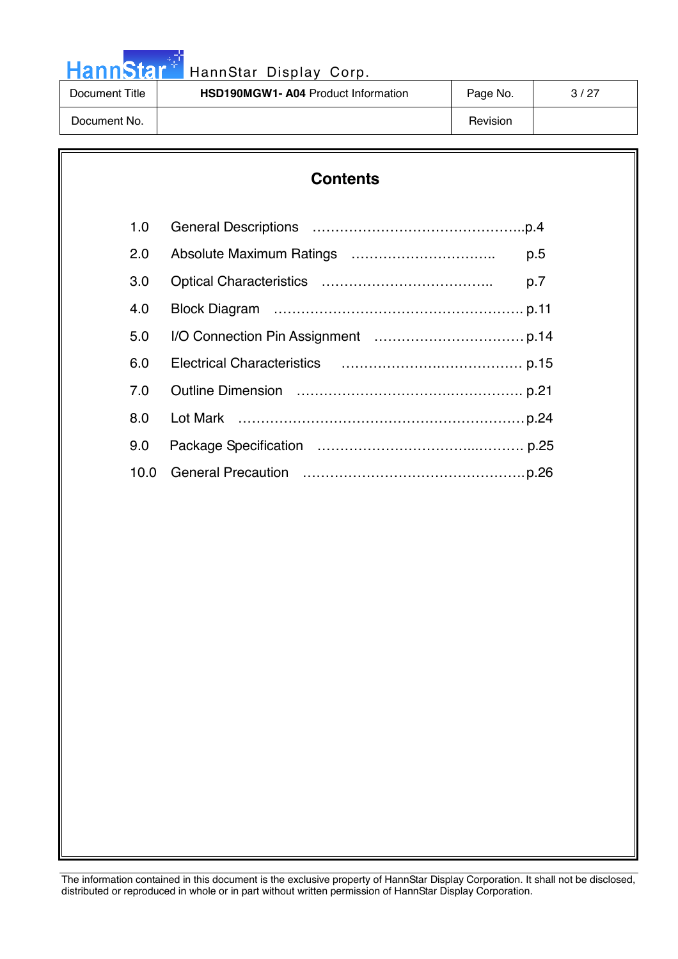HannStar<sup>th</sup> HannStar Display Corp.

| HannStar <sup>+</sup> | HannStar Display Corp.                    |          |      |
|-----------------------|-------------------------------------------|----------|------|
| Document Title        | <b>HSD190MGW1-A04 Product Information</b> | Page No. | 3/27 |
| Document No.          |                                           | Revision |      |

# **Contents**

| 1.0  |     |
|------|-----|
| 2.0  | p.5 |
| 3.0  | p.7 |
| 4.0  |     |
| 5.0  |     |
| 6.0  |     |
| 7.0  |     |
| 8.0  |     |
| 9.0  |     |
| 10.0 |     |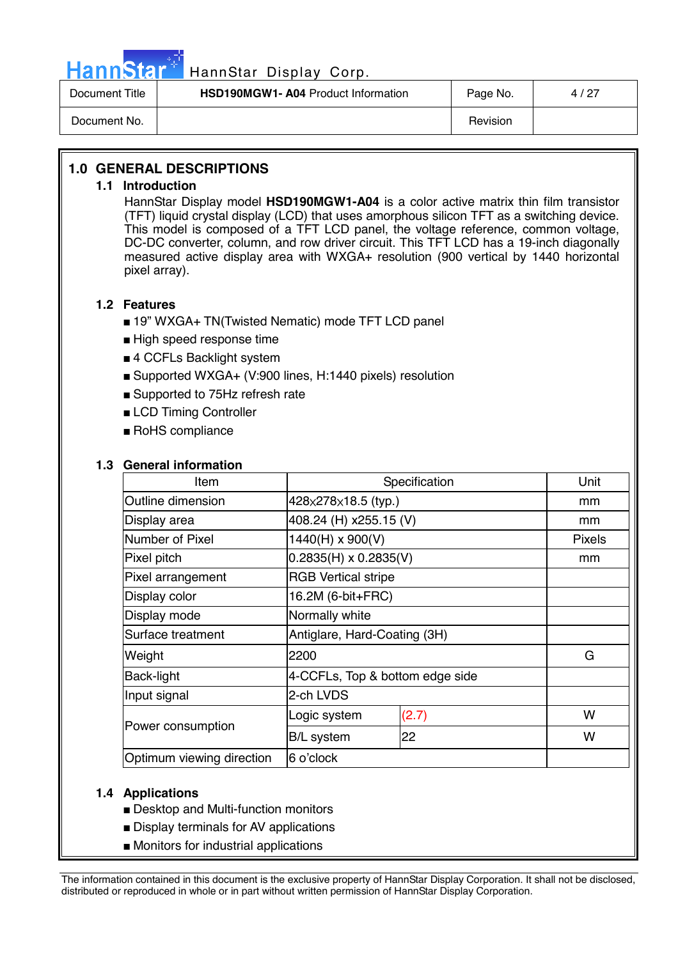

# HannStar<sup>#</sup> HannStar Display Corp.

| Document Title | <b>HSD190MGW1- A04 Product Information</b> | Page No. | 4 / 27 |
|----------------|--------------------------------------------|----------|--------|
| Document No.   |                                            | Revision |        |

# **1.0 GENERAL DESCRIPTIONS**

## **1.1 Introduction**

HannStar Display model **HSD190MGW1-A04** is a color active matrix thin film transistor (TFT) liquid crystal display (LCD) that uses amorphous silicon TFT as a switching device. This model is composed of a TFT LCD panel, the voltage reference, common voltage, DC-DC converter, column, and row driver circuit. This TFT LCD has a 19-inch diagonally measured active display area with WXGA+ resolution (900 vertical by 1440 horizontal pixel array).

## **1.2 Features**

- 19" WXGA+ TN(Twisted Nematic) mode TFT LCD panel
- High speed response time
- 4 CCFLs Backlight system
- Supported WXGA+ (V:900 lines, H:1440 pixels) resolution
- Supported to 75Hz refresh rate
- LCD Timing Controller
- RoHS compliance

#### **1.3 General information**

| Item                      | Specification                   | Unit  |               |
|---------------------------|---------------------------------|-------|---------------|
| Outline dimension         | 428×278×18.5 (typ.)             |       | mm            |
| Display area              | 408.24 (H) x255.15 (V)          |       | mm            |
| Number of Pixel           | 1440(H) x 900(V)                |       | <b>Pixels</b> |
| Pixel pitch               | $0.2835(H) \times 0.2835(V)$    |       | mm            |
| Pixel arrangement         | <b>RGB Vertical stripe</b>      |       |               |
| Display color             | 16.2M (6-bit+FRC)               |       |               |
| Display mode              | Normally white                  |       |               |
| Surface treatment         | Antiglare, Hard-Coating (3H)    |       |               |
| Weight                    | 2200                            |       | G             |
| <b>Back-light</b>         | 4-CCFLs, Top & bottom edge side |       |               |
| Input signal              | 2-ch LVDS                       |       |               |
|                           | Logic system                    | (2.7) | W             |
| Power consumption         | <b>B/L</b> system               | 22    | W             |
| Optimum viewing direction | 6 o'clock                       |       |               |

# **1.4 Applications**

- Desktop and Multi-function monitors
- Display terminals for AV applications
- Monitors for industrial applications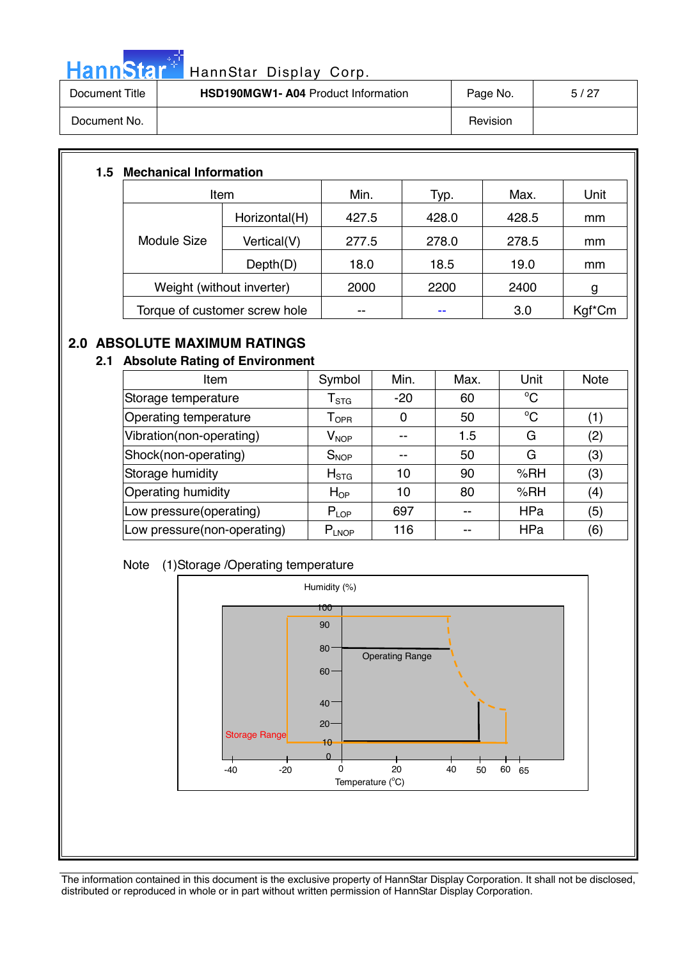

# HannStar<sup>#</sup> HannStar Display Corp.

| Document Title | <b>HSD190MGW1-A04 Product Information</b> | Page No. | 5/27 |
|----------------|-------------------------------------------|----------|------|
| Document No.   |                                           | Revision |      |

# **1.5 Mechanical Information**

| Item                          |               | Min.  | Typ.  | Max.  | Unit   |
|-------------------------------|---------------|-------|-------|-------|--------|
|                               | Horizontal(H) | 427.5 | 428.0 | 428.5 | mm     |
| Module Size                   | Vertical(V)   | 277.5 | 278.0 | 278.5 | mm     |
|                               | Depth(D)      | 18.0  | 18.5  | 19.0  | mm     |
| Weight (without inverter)     |               | 2000  | 2200  | 2400  | g      |
| Torque of customer screw hole |               | --    | --    | 3.0   | Kgf*Cm |

# **2.0 ABSOLUTE MAXIMUM RATINGS**

# **2.1 Absolute Rating of Environment**

| <b>Item</b>                 | Symbol                      | Min.  | Max. | Unit        | <b>Note</b> |
|-----------------------------|-----------------------------|-------|------|-------------|-------------|
| Storage temperature         | ${\mathsf T}_{\text{STG}}$  | $-20$ | 60   | $\rm ^{o}C$ |             |
| Operating temperature       | $\mathsf{T}_{\mathsf{OPR}}$ | 0     | 50   | $\rm ^{o}C$ | (1)         |
| Vibration(non-operating)    | $\mathsf{V}_{\mathsf{NOP}}$ |       | 1.5  | G           | (2)         |
| Shock(non-operating)        | $S_{NOP}$                   |       | 50   | G           | (3)         |
| Storage humidity            | $H_{\rm STG}$               | 10    | 90   | %RH         | (3)         |
| Operating humidity          | $H_{OP}$                    | 10    | 80   | %RH         | (4)         |
| Low pressure(operating)     | $P_{LOP}$                   | 697   |      | <b>HPa</b>  | (5)         |
| Low pressure(non-operating) | $P_{LNOP}$                  | 116   |      | <b>HPa</b>  | (6)         |

# Note (1)Storage /Operating temperature

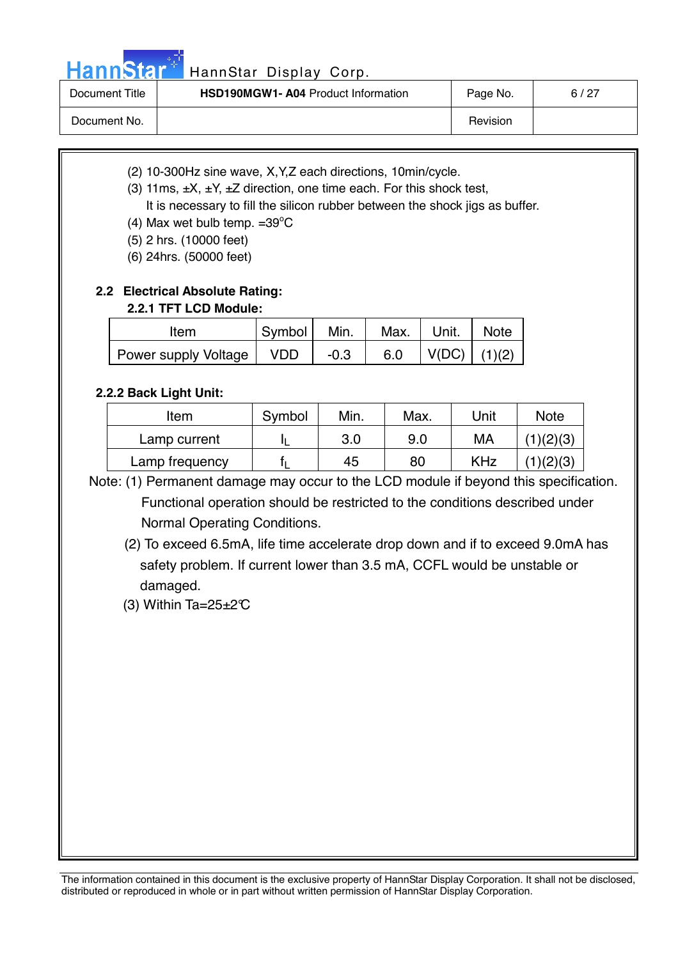# HannStar<sup>4</sup> HannStar Display Corp.

| Document Title | <b>HSD190MGW1-A04 Product Information</b> | Page No. | 6/27 |
|----------------|-------------------------------------------|----------|------|
| Document No.   |                                           | Revision |      |

- (2) 10-300Hz sine wave, X,Y,Z each directions, 10min/cycle.
- (3) 11ms,  $\pm X$ ,  $\pm Y$ ,  $\pm Z$  direction, one time each. For this shock test,

It is necessary to fill the silicon rubber between the shock jigs as buffer.

- (4) Max wet bulb temp.  $=39^{\circ}$ C
	- (5) 2 hrs. (10000 feet)
	- (6) 24hrs. (50000 feet)

# **2.2 Electrical Absolute Rating:**

# **2.2.1 TFT LCD Module:**

| Item                 | Symbol     | Min.   | Max. | Unit. | <b>Note</b> |
|----------------------|------------|--------|------|-------|-------------|
| Power supply Voltage | <b>VDD</b> | $-0.3$ | 6.0  | V(DC) | (1)(2)      |

# **2.2.2 Back Light Unit:**

 $\overline{\phantom{a}}$ 

| <b>Item</b>    | Symbol | Min. | Max. | Unit       | <b>Note</b> |
|----------------|--------|------|------|------------|-------------|
| Lamp current   |        | 3.0  | 9.0  | МA         | (1)(2)(3)   |
| Lamp frequency |        | 45   | 80   | <b>KHz</b> | 1)(2)(3)    |

- Note: (1) Permanent damage may occur to the LCD module if beyond this specification. Functional operation should be restricted to the conditions described under Normal Operating Conditions.
	- (2) To exceed 6.5mA, life time accelerate drop down and if to exceed 9.0mA has safety problem. If current lower than 3.5 mA, CCFL would be unstable or damaged.
	- (3) Within Ta= $25 \pm 2^{\circ}$ C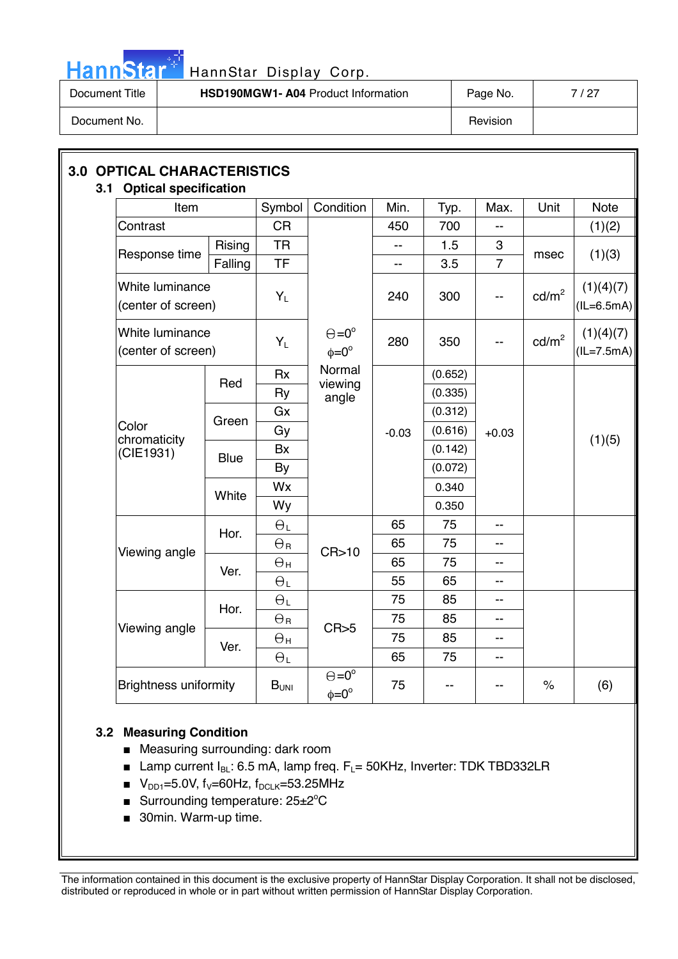

# HannStar<sup>#</sup> HannStar Display Corp.

| Document Title | HSD190MGW1- A04 Product Information | Page No. | 7 / 27 |
|----------------|-------------------------------------|----------|--------|
| Document No.   |                                     | Revision |        |

| Item                                  |             | Symbol                | Condition                                | Min.           | Typ.    | Max.                     | Unit              | <b>Note</b>                     |  |  |
|---------------------------------------|-------------|-----------------------|------------------------------------------|----------------|---------|--------------------------|-------------------|---------------------------------|--|--|
| Contrast                              |             | <b>CR</b>             |                                          | 450            | 700     | $-1$                     |                   | (1)(2)                          |  |  |
|                                       | Rising      | <b>TR</b>             |                                          | $\overline{a}$ | 1.5     | 3                        |                   |                                 |  |  |
| Response time                         | Falling     | <b>TF</b>             |                                          | --             | 3.5     | $\overline{7}$           | msec              | (1)(3)                          |  |  |
| White luminance<br>(center of screen) |             | $Y_L$                 |                                          | 240            | 300     | --                       | $\text{cd/m}^2$   | (1)(4)(7)<br>$(IL=6.5mA)$       |  |  |
| White luminance<br>(center of screen) |             | $Y_L$                 | $\Theta = 0^{\circ}$<br>$\phi = 0^\circ$ | 280            | 350     |                          | cd/m <sup>2</sup> | (1)(4)(7)<br>$\left($ IL=7.5mA) |  |  |
|                                       |             | <b>Rx</b>             | Normal                                   |                | (0.652) |                          |                   |                                 |  |  |
|                                       | Red         | Ry                    | viewing<br>angle                         |                | (0.335) |                          |                   |                                 |  |  |
| Color<br>chromaticity<br>(CIE1931)    | Green       | Gx                    |                                          | $-0.03$        | (0.312) | $+0.03$                  |                   |                                 |  |  |
|                                       |             | Gy                    |                                          |                | (0.616) |                          |                   |                                 |  |  |
|                                       | <b>Blue</b> | Bx                    |                                          |                | (0.142) |                          |                   | (1)(5)                          |  |  |
|                                       |             | By                    |                                          |                | (0.072) |                          |                   |                                 |  |  |
|                                       | White       | Wx                    |                                          |                |         |                          | 0.340             |                                 |  |  |
|                                       |             | Wy                    |                                          |                | 0.350   |                          |                   |                                 |  |  |
|                                       | Hor.        | $\Theta_L$            |                                          | 65             | 75      |                          |                   |                                 |  |  |
| Viewing angle                         |             | $\Theta$ <sub>R</sub> | CR > 10                                  | 65             | 75      |                          |                   |                                 |  |  |
|                                       | Ver.        | $\Theta_{\sf H}$      |                                          | 65             | 75      | $-$                      |                   |                                 |  |  |
|                                       |             | $\Theta_L$            |                                          | 55             | 65      | $\overline{\phantom{a}}$ |                   |                                 |  |  |
|                                       | Hor.        | $\Theta_L$            |                                          | 75             | 85      | $-$                      |                   |                                 |  |  |
| Viewing angle                         |             | $\Theta_{\texttt{R}}$ | CR > 5                                   | 75             | 85      | $- -$                    |                   |                                 |  |  |
|                                       | Ver.        | $\Theta$ н            |                                          | 75             | 85      | $-$                      |                   |                                 |  |  |
|                                       |             | $\Theta_L$            |                                          | 65             | 75      | $\frac{1}{2}$            |                   |                                 |  |  |
| <b>Brightness uniformity</b>          |             | $B_{UNI}$             | $\Theta = 0^{\circ}$<br>$\phi = 0^\circ$ | 75             | --      | --                       | $\%$              | (6)                             |  |  |

# **3.2 Measuring Condition**

- Measuring surrounding: dark room
- **■** Lamp current  $I_{BL}$ : 6.5 mA, lamp freq.  $F_L$ = 50KHz, Inverter: TDK TBD332LR
- $V_{DD1}$ =5.0V, f<sub>V</sub>=60Hz, f<sub>DCLK</sub>=53.25MHz
- Surrounding temperature: 25±2°C
- 30min. Warm-up time.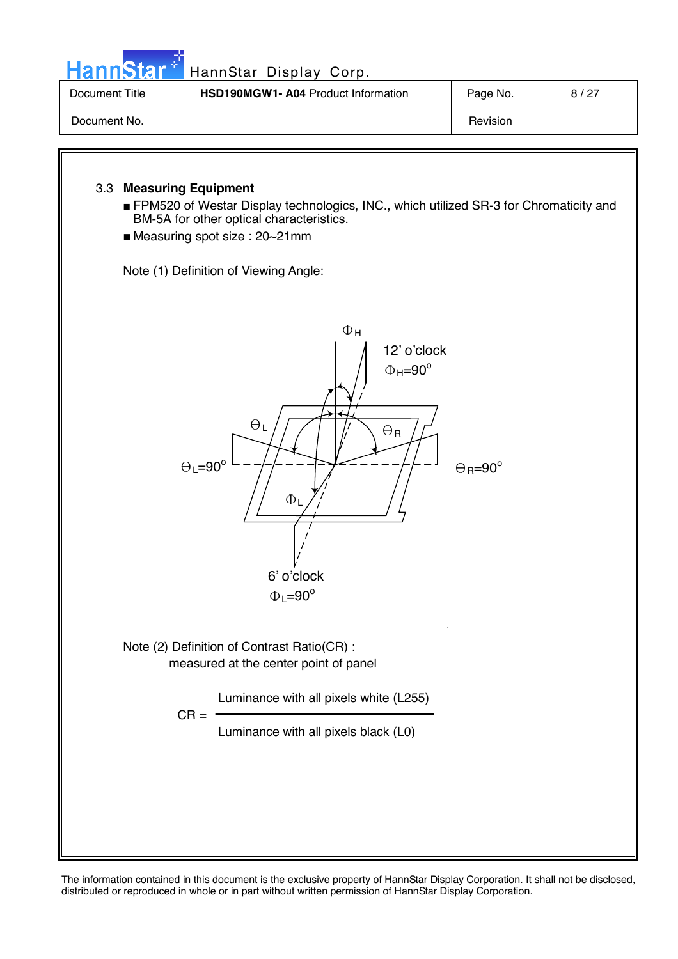| HannStar <sup>+</sup> | HannStar Display Corp.                     |          |      |
|-----------------------|--------------------------------------------|----------|------|
| Document Title        | <b>HSD190MGW1- A04 Product Information</b> | Page No. | 8/27 |
| Document No.          |                                            | Revision |      |

# 3.3 **Measuring Equipment**

- FPM520 of Westar Display technologics, INC., which utilized SR-3 for Chromaticity and BM-5A for other optical characteristics.
- Measuring spot size : 20~21mm

Note (1) Definition of Viewing Angle:

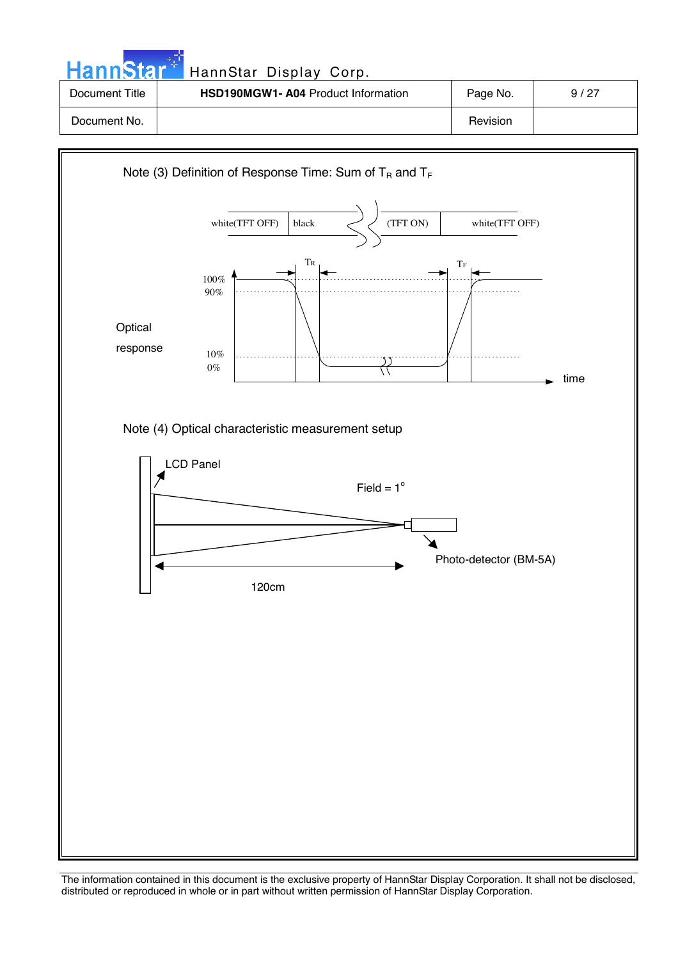| HannStar <sup>*</sup> | HannStar Display Corp.                    |          |      |
|-----------------------|-------------------------------------------|----------|------|
| Document Title        | <b>HSD190MGW1-A04 Product Information</b> | Page No. | 9/27 |
| Document No.          |                                           | Revision |      |

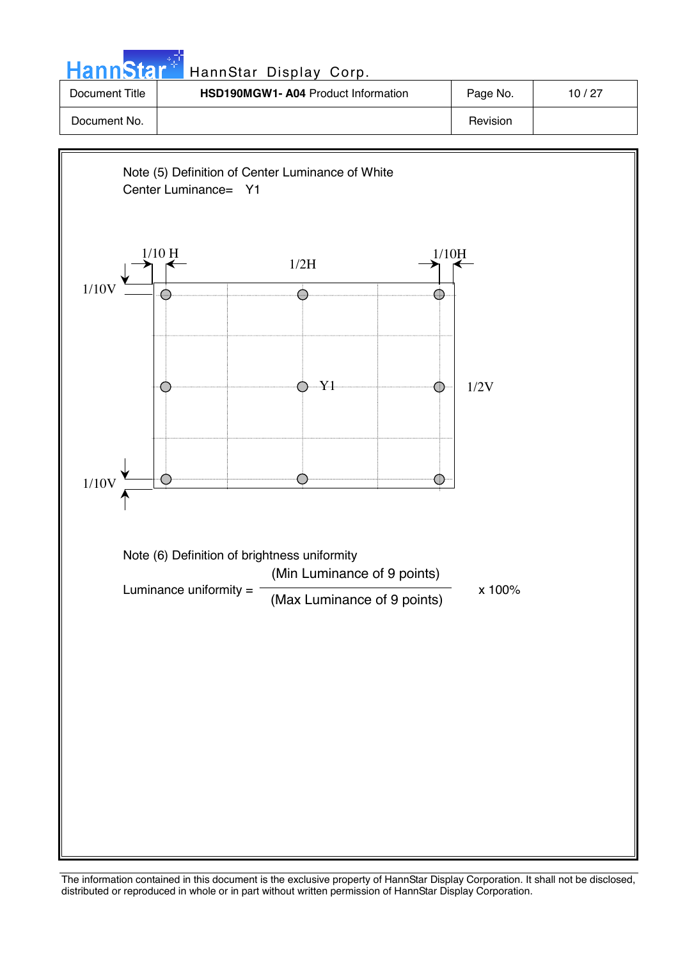| HannStar <sup>+</sup> | HannStar Display Corp.                    |          |       |
|-----------------------|-------------------------------------------|----------|-------|
| Document Title        | <b>HSD190MGW1-A04 Product Information</b> | Page No. | 10/27 |
| Document No.          |                                           | Revision |       |

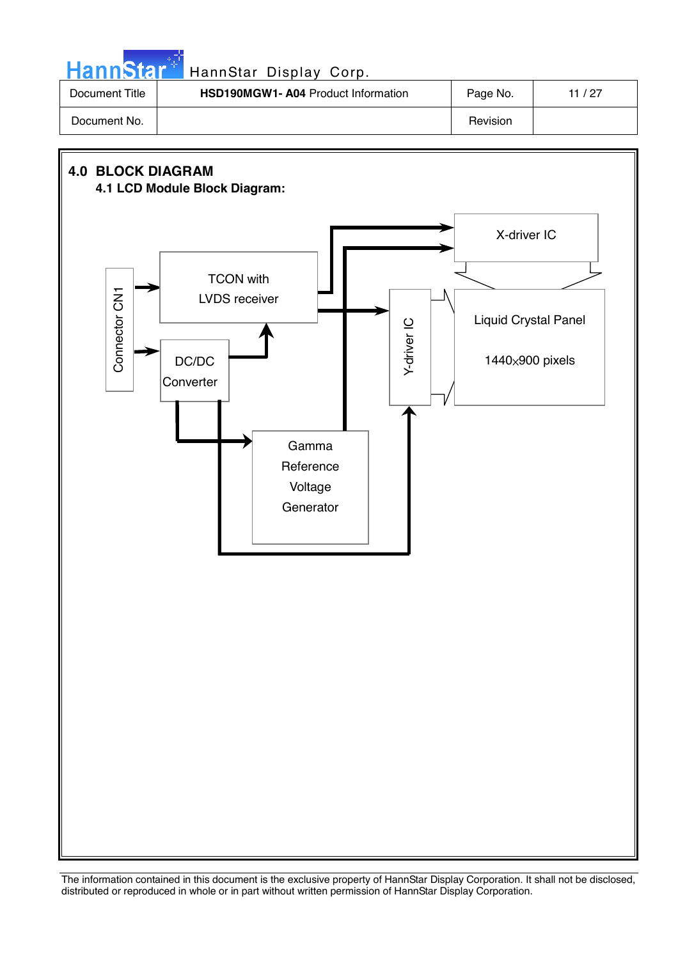| HannStar <sup>*</sup> | HannStar Display Corp.              |          |       |
|-----------------------|-------------------------------------|----------|-------|
| Document Title        | HSD190MGW1- A04 Product Information | Page No. | 11/27 |
| Document No.          |                                     | Revision |       |

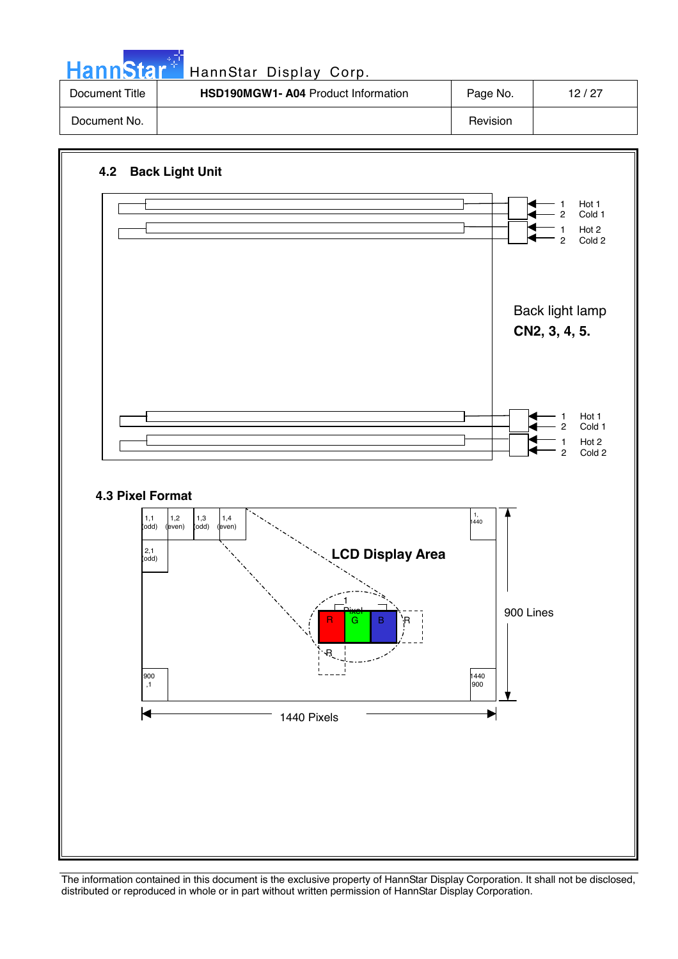| HannStar <sup>+1</sup> | HannStar Display Corp.                    |          |       |
|------------------------|-------------------------------------------|----------|-------|
| Document Title         | <b>HSD190MGW1-A04 Product Information</b> | Page No. | 12/27 |
| Document No.           |                                           | Revision |       |

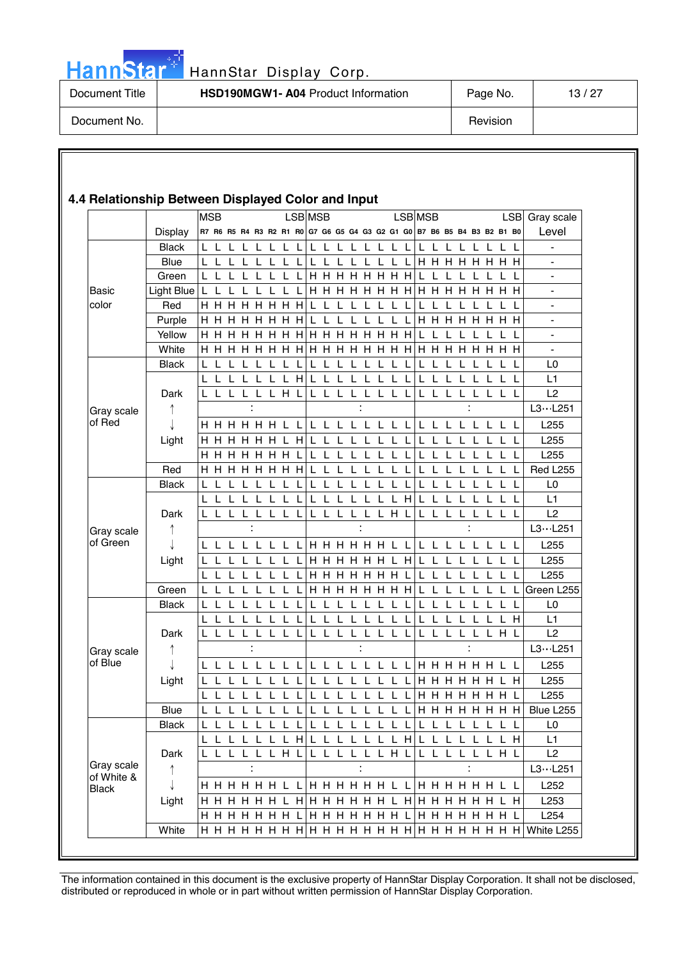

# HannStar Display Corp.

| Document Title | <b>HSD190MGW1-A04 Product Information</b> | Page No. | 13/27 |
|----------------|-------------------------------------------|----------|-------|
| Document No.   |                                           | Revision |       |

#### **4.4 Relationship Between Displayed Color and Input**  MSB LSB MSB LSB MSB LSB Gray scale Display R7 R6 R5 R4 R3 R2 R1 R0 G7 G6 G5 G4 G3 G2 G1 G0 B7 B6 B5 B4 B3 B2 B1 B0 Level Black L L L L L L L L L L L L L L L L L L L L L L L L - Blue  $|L L L L L L L L L L L L L L L H H H H H H H$ Green  $|L L L L L L L$   $|H H H H H H H L L L L L L$ Basic Light Blue L L L L L L L L H H H H H H H H H H H H H H H H color Red H H H H H H H H L L L L L L L L L L L L L L L L - Purple  $\vert$  H H H H H H H H H  $\vert$  L L L L L L L L L  $\vert$  H H H H H H H  $\vert$  -Yellow H H H H H H H H H H H H H H H H L L L L L L L L - White  $\vert$ H H H H H H H H  $\vert$ H H H H H H H  $\vert$ H H H H H H H H  $\vert$ Black L L L L L L L L L L L L L L L L L L L L L L L L L0 L L L L L L L H L L L L L L L L L L L L L L L L L1 Dark L L L L L L H L L L L L L L L L L L L L L L L L L2  $13...1251$  $\ddot{\cdot}$ Gray scale of Red J H H H H H H L L L L L L L L L L L L L L L L L L L255 Light H H H H H H L H L L L L L L L L L L L L L L L L L255 H H H H H H H L L L L L L L L L L L L L L L L L L255 Red H H H H H H H H L L L L L L L L L L L L L L L L Red L255 Black L L L L L L L L L L L L L L L L L L L L L L L L L0 L L L L L L L L L L L L L L L H L L L L L L L L L1 Dark L L L L L L L L L L L L L L H L L L L L L L L L L2  $\ddot{\phantom{0}}$  $\cdot$  $\bullet$  $L3 \cdots L251$ Gray scale  $\uparrow$ of Green  $\perp$ L L L L L L L L H H H H H H L L L L L L L L L L L255 Light  $\vert$  L L L L L L L L L  $\vert$  H H H H H H L H  $\vert$  L L L L L L L L L  $\vert$  L255 L L L L L L L L H H H H H H H L L L L L L L L L L255 Green L L L L L L L L  $\vert$ H H H H H H H  $\vert$ L L L L L L L L  $\vert$ Green L255 Black L L L L L L L L L L L L L L L L L L L L L L L L L0 L L L L L L L L L L L L L L L L L L L L L L L H L1 Dark L L L L L L L L L L L L L L L L L L L L L L H L L2  $\uparrow$  $\ddot{\phantom{a}}$  $\ddot{\phantom{a}}$  $\ddot{\phantom{a}}$  $L3 \cdots L251$ Gray scale of Blue L L L L L L L L L L L L L L L L H H H H H H L L L255 J Light L L L L L L L L L L L L L L L L H H H H H H L H L255 L L L H H H H H H H L  $\vert$  L255 Blue L L L L L L L L L L L L L L L L H H H H H H H H  $\text{H}$  Blue L255 Black L L L L L L L L L L L L L L L L L L L L L L L L L0 L L L L L L L H L L L L L L L H L L L L L L L H L1 Dark L L L L L L H L L L L L L L H L L L L L L L H L L2 Gray scale  $L3...L251$  $\uparrow$  $\ddot{\phantom{a}}$  $\ddot{\phantom{a}}$ of White &  $\downarrow$ H H H H H H L L H H H H H H L L H H H H H H L L L252 Black  $Light | H H H H H L H | H H H H H H L H | H H H H H H L H | L253$  H H H H H H H L H H H H H H H L H H H H H H H L L254 White  $H H H H H H H H H H H H H H H H H H H H H H H H$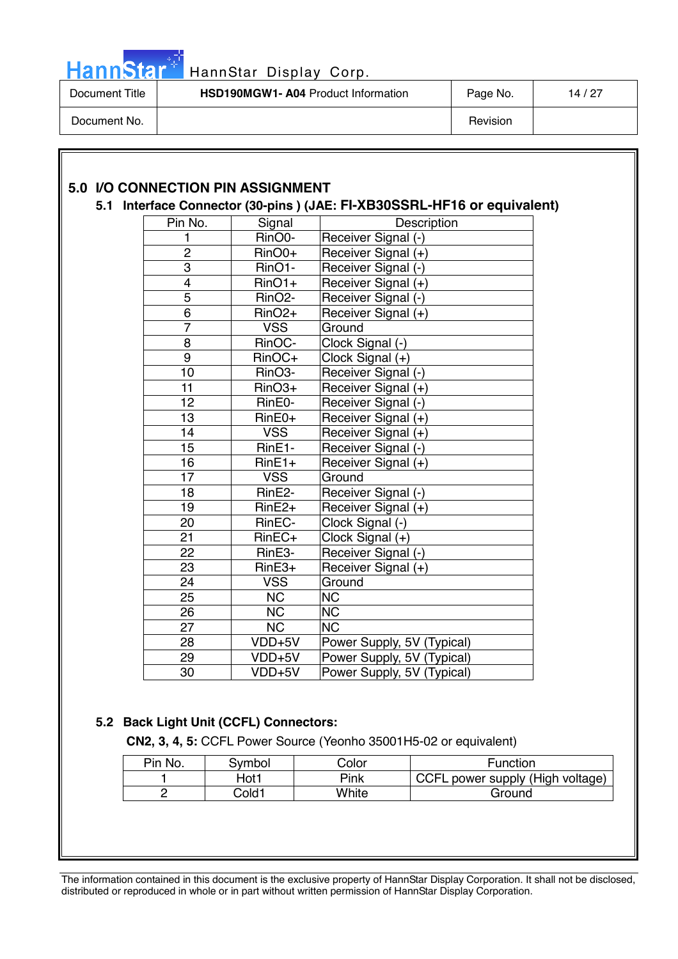

| Document Title | <b>HSD190MGW1-A04 Product Information</b> | Page No. | 14 / 27 |
|----------------|-------------------------------------------|----------|---------|
| Document No.   |                                           | Revision |         |

# **5.0 I/O CONNECTION PIN ASSIGNMENT**

## **5.1 Interface Connector (30-pins ) (JAE: FI-XB30SSRL-HF16 or equivalent)**

| Pin No.         | Signal                 | Description                |
|-----------------|------------------------|----------------------------|
| 1               | RinO0-                 | Receiver Signal (-)        |
| 2               | RinO0+                 | Receiver Signal (+)        |
| $\overline{3}$  | RinO1-                 | Receiver Signal (-)        |
| 4               | $RinO1+$               | Receiver Signal (+)        |
| $\overline{5}$  | RinO <sub>2</sub> -    | Receiver Signal (-)        |
| $\overline{6}$  | RinO <sub>2+</sub>     | Receiver Signal (+)        |
| $\overline{7}$  | <b>VSS</b>             | Ground                     |
| 8               | RinOC-                 | Clock Signal (-)           |
| 9               | RinOC+                 | Clock Signal (+)           |
| 10              | RinO3-                 | Receiver Signal (-)        |
| 11              | RinO3+                 | Receiver Signal (+)        |
| $\overline{12}$ | RinE0-                 | Receiver Signal (-)        |
| 13              | RinE0+                 | Receiver Signal (+)        |
| 14              | <b>VSS</b>             | Receiver Signal (+)        |
| 15              | RinE1-                 | Receiver Signal (-)        |
| $\overline{16}$ | $RinE1+$               | Receiver Signal (+)        |
| 17              | <b>VSS</b>             | Ground                     |
| 18              | RinE2-                 | Receiver Signal (-)        |
| 19              | RinE <sub>2+</sub>     | Receiver Signal (+)        |
| 20              | RinEC-                 | Clock Signal (-)           |
| 21              | RinEC+                 | Clock Signal (+)           |
| 22              | RinE3-                 | Receiver Signal (-)        |
| 23              | RinE3+                 | Receiver Signal (+)        |
| 24              | <b>VSS</b>             | Ground                     |
| 25              | <b>NC</b>              | <b>NC</b>                  |
| $\overline{26}$ | $\overline{\text{NC}}$ | <b>NC</b>                  |
| 27              | <b>NC</b>              | <b>NC</b>                  |
| 28              | VDD+5V                 | Power Supply, 5V (Typical) |
| 29              | VDD+5V                 | Power Supply, 5V (Typical) |
| 30              | VDD+5V                 | Power Supply, 5V (Typical) |

# **5.2 Back Light Unit (CCFL) Connectors:**

**CN2, 3, 4, 5:** CCFL Power Source (Yeonho 35001H5-02 or equivalent)

| Pin No. | Symbol | Color | <b>Function</b>                  |
|---------|--------|-------|----------------------------------|
|         | Hot1   | Pink  | CCFL power supply (High voltage) |
|         | Cold1  | White | Ground                           |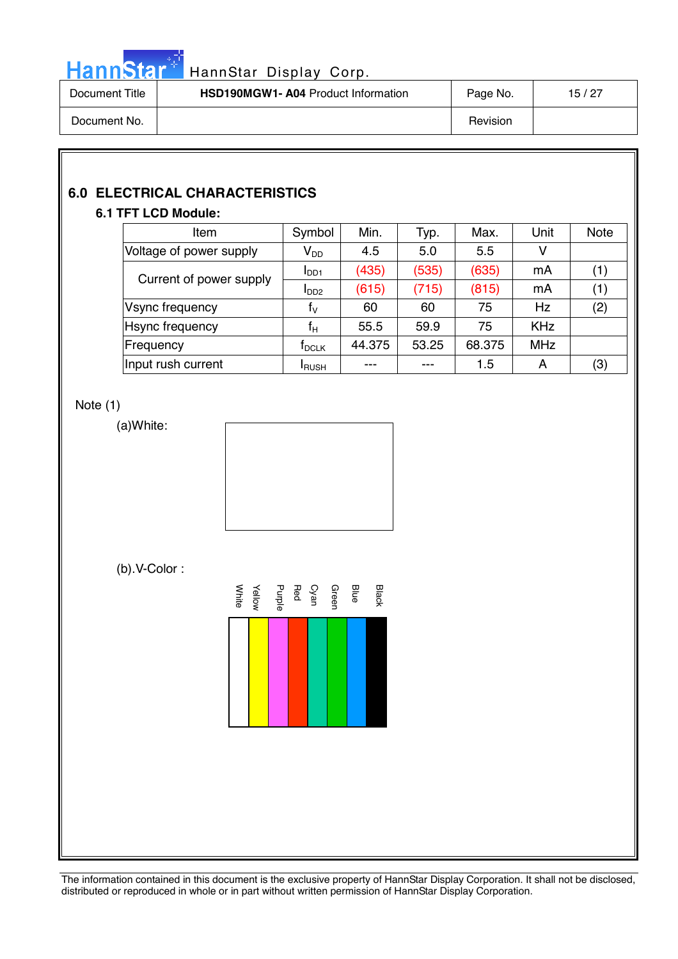

| Document Title | <b>HSD190MGW1- A04 Product Information</b> | Page No. | 15/27 |
|----------------|--------------------------------------------|----------|-------|
| Document No.   |                                            | Revision |       |

# **6.0 ELECTRICAL CHARACTERISTICS**

# **6.1 TFT LCD Module:**

| Item                    | Symbol                     | Min.   | Typ.  | Max.   | Unit       | <b>Note</b> |
|-------------------------|----------------------------|--------|-------|--------|------------|-------------|
| Voltage of power supply | $\mathsf{V}_{\mathsf{DD}}$ | 4.5    | 5.0   | 5.5    | ٧          |             |
| Current of power supply | I <sub>DD1</sub>           | (435)  | (535) | (635)  | mA         | (1)         |
|                         | I <sub>DD2</sub>           | (615)  | (715) | (815)  | mA         | (1)         |
| Vsync frequency         | $f_V$                      | 60     | 60    | 75     | <b>Hz</b>  | (2)         |
| <b>H</b> sync frequency | $\mathsf{f}_{\mathsf{H}}$  | 55.5   | 59.9  | 75     | <b>KHz</b> |             |
| Frequency               | $\sf{f}_{\sf DCLK}$        | 44.375 | 53.25 | 68.375 | <b>MHz</b> |             |
| Input rush current      | <b>I</b> RUSH              |        |       | 1.5    | A          | (3)         |

# Note (1)

(a)White:



(b).V-Color :

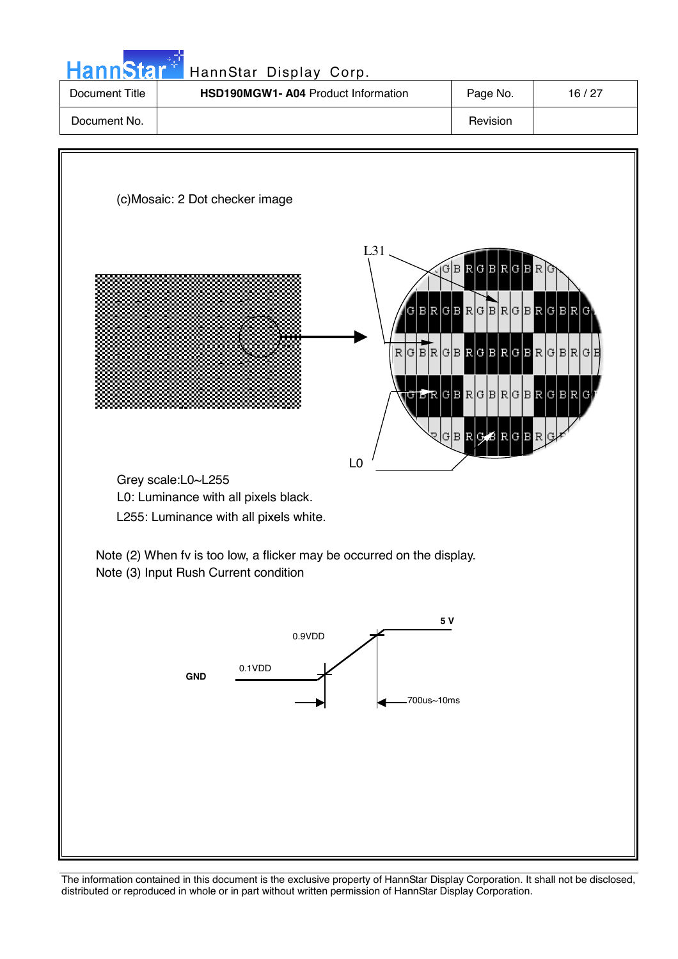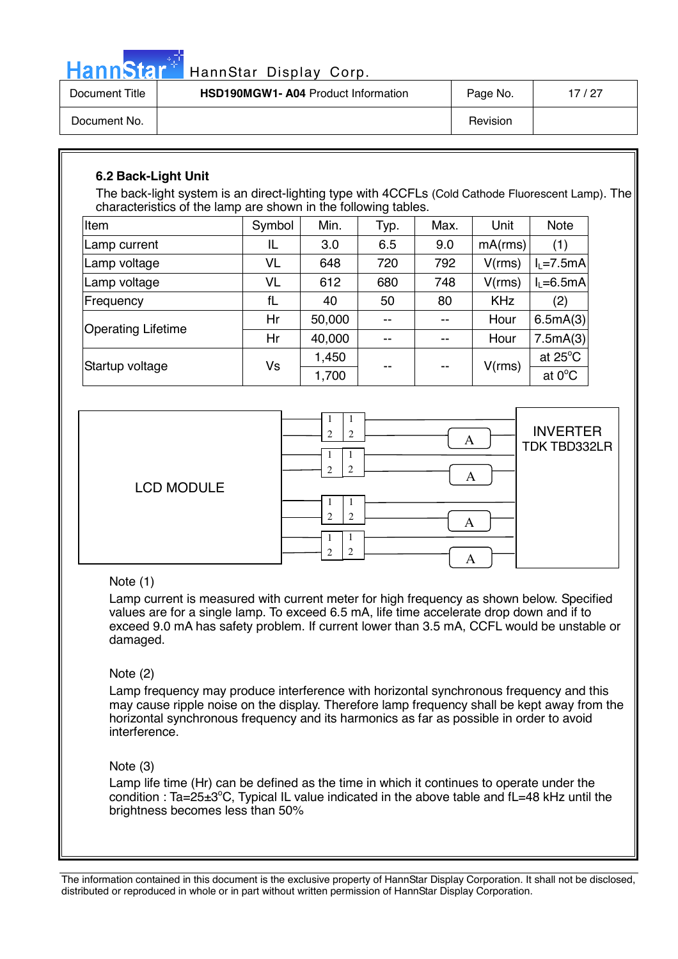

# HannStar Display Corp.

| Document Title | <b>HSD190MGW1- A04 Product Information</b> | Page No. | 17 / 27 |
|----------------|--------------------------------------------|----------|---------|
| Document No.   |                                            | Revision |         |

# **6.2 Back-Light Unit**

The back-light system is an direct-lighting type with 4CCFLs (Cold Cathode Fluorescent Lamp). The characteristics of the lamp are shown in the following tables.

| Item                      | Symbol | Min.   | Typ. | Max.  | Unit       | <b>Note</b>       |
|---------------------------|--------|--------|------|-------|------------|-------------------|
| Lamp current              | IL     | 3.0    | 6.5  | 9.0   | mA(rms)    | (1)               |
| Lamp voltage              | VL     | 648    | 720  | 792   | V(rms)     | $I_L = 7.5mA$     |
| Lamp voltage              | VL     | 612    | 680  | 748   | V(rms)     | $I1=6.5mA$        |
| Frequency                 | fL     | 40     | 50   | 80    | <b>KHz</b> | (2)               |
| <b>Operating Lifetime</b> | Hr     | 50,000 | --   | --    | Hour       | 6.5mA(3)          |
|                           | Hr     | 40,000 | $-$  | --    | Hour       | 7.5mA(3)          |
|                           |        | 1,450  |      |       |            | at $25^{\circ}$ C |
| Startup voltage           | Vs     | 1,700  | --   | $- -$ | V(rms)     | at $0^{\circ}$ C  |



# Note (1)

Lamp current is measured with current meter for high frequency as shown below. Specified values are for a single lamp. To exceed 6.5 mA, life time accelerate drop down and if to exceed 9.0 mA has safety problem. If current lower than 3.5 mA, CCFL would be unstable or damaged.

# Note (2)

Lamp frequency may produce interference with horizontal synchronous frequency and this may cause ripple noise on the display. Therefore lamp frequency shall be kept away from the horizontal synchronous frequency and its harmonics as far as possible in order to avoid interference.

# Note (3)

Lamp life time (Hr) can be defined as the time in which it continues to operate under the condition : Ta=25 $\pm$ 3°C, Typical IL value indicated in the above table and fL=48 kHz until the brightness becomes less than 50%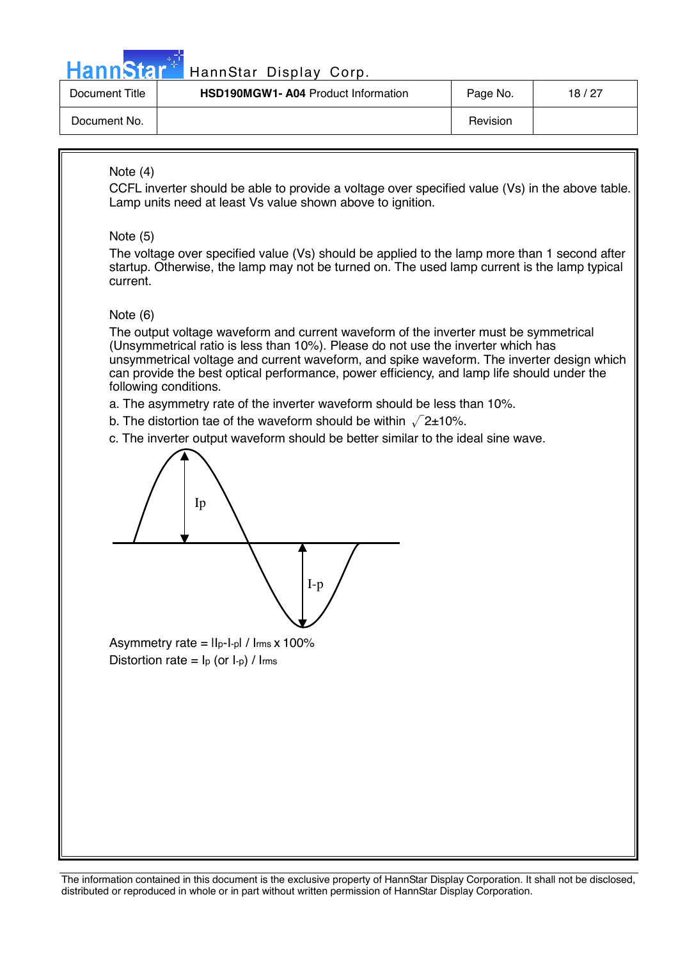

# HannStar Display Corp.

| Document Title | <b>HSD190MGW1- A04 Product Information</b> | Page No. | 18/27 |
|----------------|--------------------------------------------|----------|-------|
| Document No.   |                                            | Revision |       |

# Note (4)

CCFL inverter should be able to provide a voltage over specified value (Vs) in the above table. Lamp units need at least Vs value shown above to ignition.

# Note (5)

The voltage over specified value (Vs) should be applied to the lamp more than 1 second after startup. Otherwise, the lamp may not be turned on. The used lamp current is the lamp typical current.

# Note (6)

 $\overline{\phantom{a}}$ 

The output voltage waveform and current waveform of the inverter must be symmetrical (Unsymmetrical ratio is less than 10%). Please do not use the inverter which has unsymmetrical voltage and current waveform, and spike waveform. The inverter design which can provide the best optical performance, power efficiency, and lamp life should under the following conditions.

a. The asymmetry rate of the inverter waveform should be less than 10%.

b. The distortion tae of the waveform should be within  $\sqrt{2}$ ±10%.

c. The inverter output waveform should be better similar to the ideal sine wave.



Asymmetry rate =  $\ln$ -I-pl /  $\ln x$  100% Distortion rate =  $I_p$  (or  $I_p$ ) /  $I_{rms}$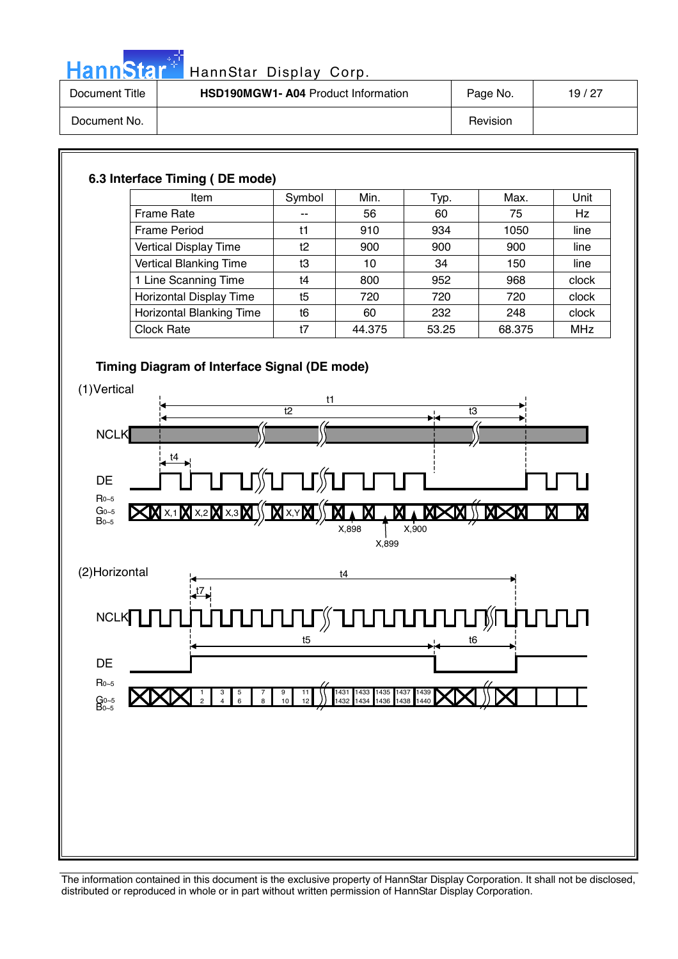

# HannStar<sup>#</sup> HannStar Display Corp.

| Document Title | <b>HSD190MGW1- A04 Product Information</b> | Page No. | 19/27 |
|----------------|--------------------------------------------|----------|-------|
| Document No.   |                                            | Revision |       |

# **6.3 Interface Timing ( DE mode)**

| Item                          | Symbol | Min.   | Typ.  | Max.   | Unit       |
|-------------------------------|--------|--------|-------|--------|------------|
| Frame Rate                    | --     | 56     | 60    | 75     | Hz         |
| <b>Frame Period</b>           | t1     | 910    | 934   | 1050   | line       |
| Vertical Display Time         | t2     | 900    | 900   | 900    | line       |
| <b>Vertical Blanking Time</b> | t3     | 10     | 34    | 150    | line       |
| 1 Line Scanning Time          | t4     | 800    | 952   | 968    | clock      |
| Horizontal Display Time       | t5     | 720    | 720   | 720    | clock      |
| Horizontal Blanking Time      | t6     | 60     | 232   | 248    | clock      |
| <b>Clock Rate</b>             | t7     | 44.375 | 53.25 | 68.375 | <b>MHz</b> |

# **Timing Diagram of Interface Signal (DE mode)**

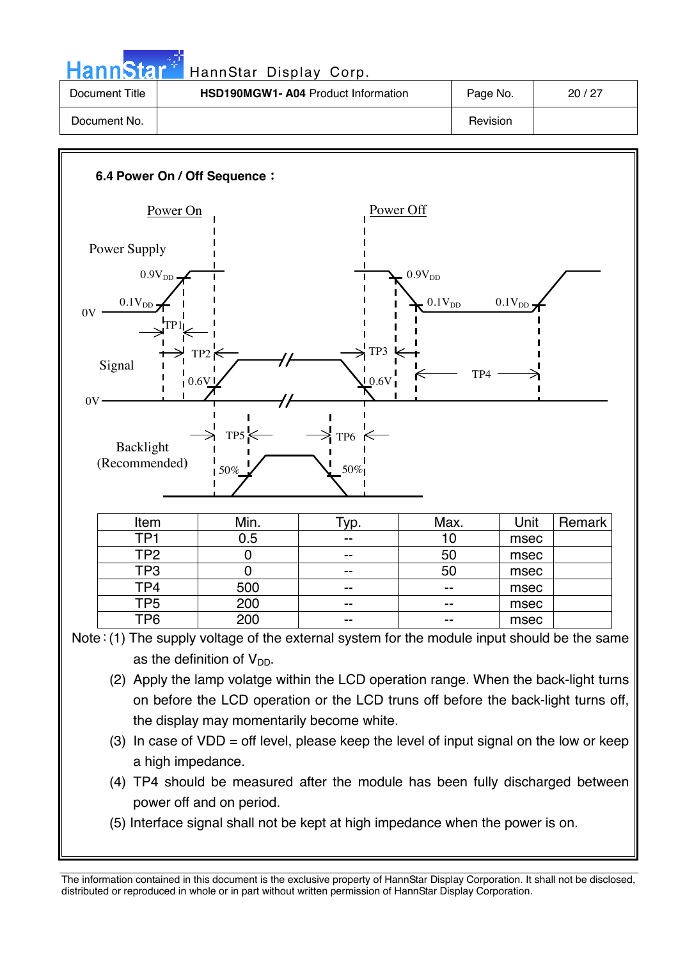| HannStar <sup>*</sup> | HannStar Display Corp.             |          |       |
|-----------------------|------------------------------------|----------|-------|
| Document Title        | HSD190MGW1-A04 Product Information | Page No. | 20/27 |
| Document No.          |                                    | Revision |       |



- on before the LCD operation or the LCD truns off before the back-light turns off, the display may momentarily become white.
- (3) In case of  $VDD =$  off level, please keep the level of input signal on the low or keep a high impedance.
- (4) TP4 should be measured after the module has been fully discharged between power off and on period.
- (5) Interface signal shall not be kept at high impedance when the power is on.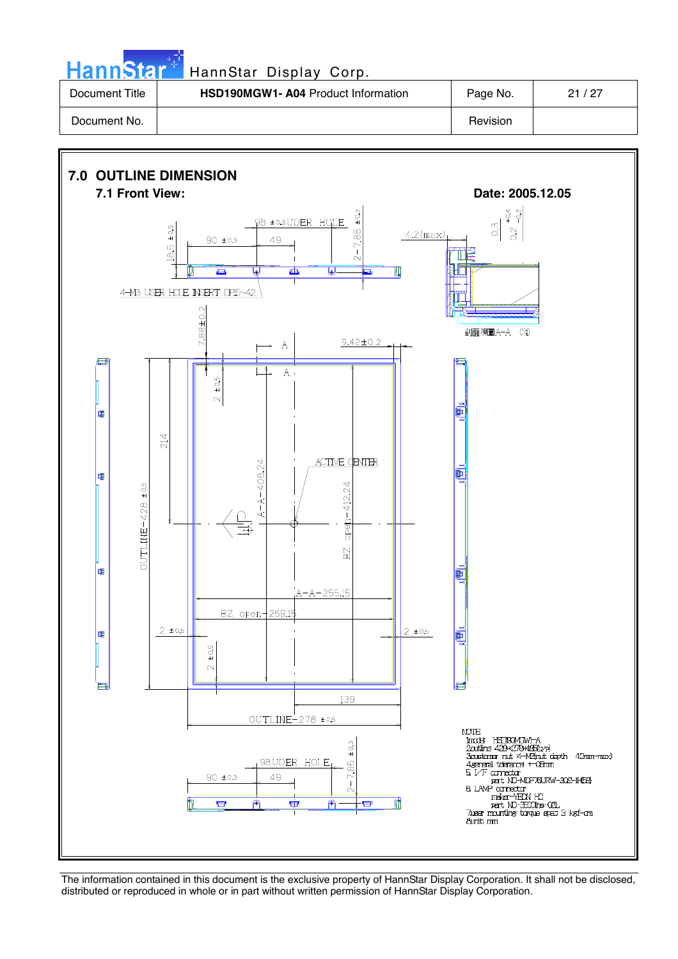Hann Star<sup>t H</sup>annStar Display Corp.

| Document Title | <b>HSD190MGW1- A04 Product Information</b> | Page No. | 21 / 27 |
|----------------|--------------------------------------------|----------|---------|
| Document No.   |                                            | Revision |         |

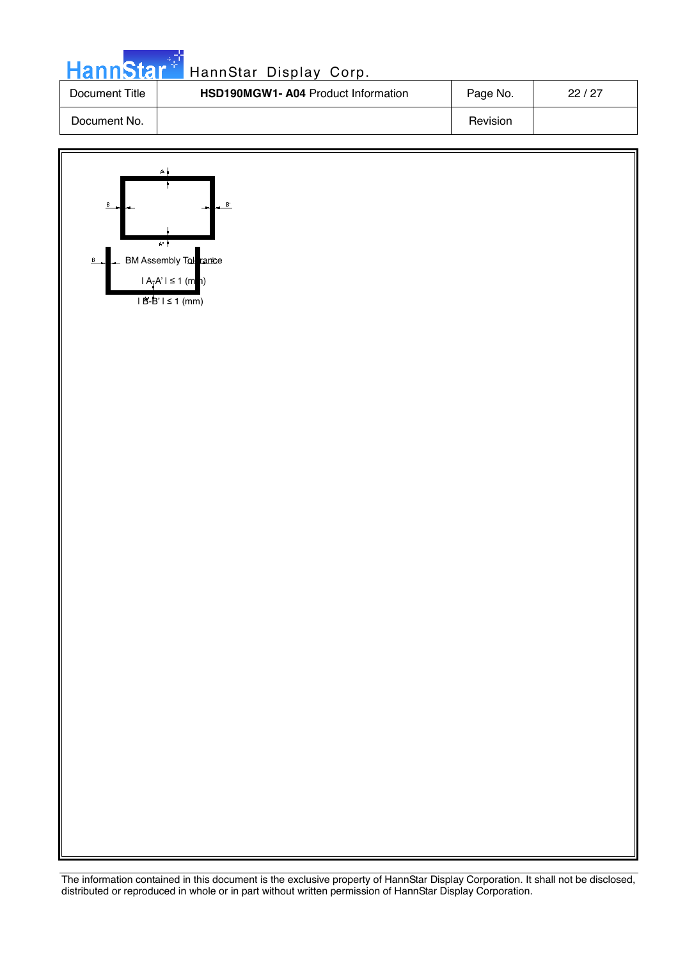| HannStar <sup>+</sup> | HannStar Display Corp.                    |          |       |
|-----------------------|-------------------------------------------|----------|-------|
| Document Title        | <b>HSD190MGW1-A04 Product Information</b> | Page No. | 22/27 |
| Document No.          |                                           | Revision |       |

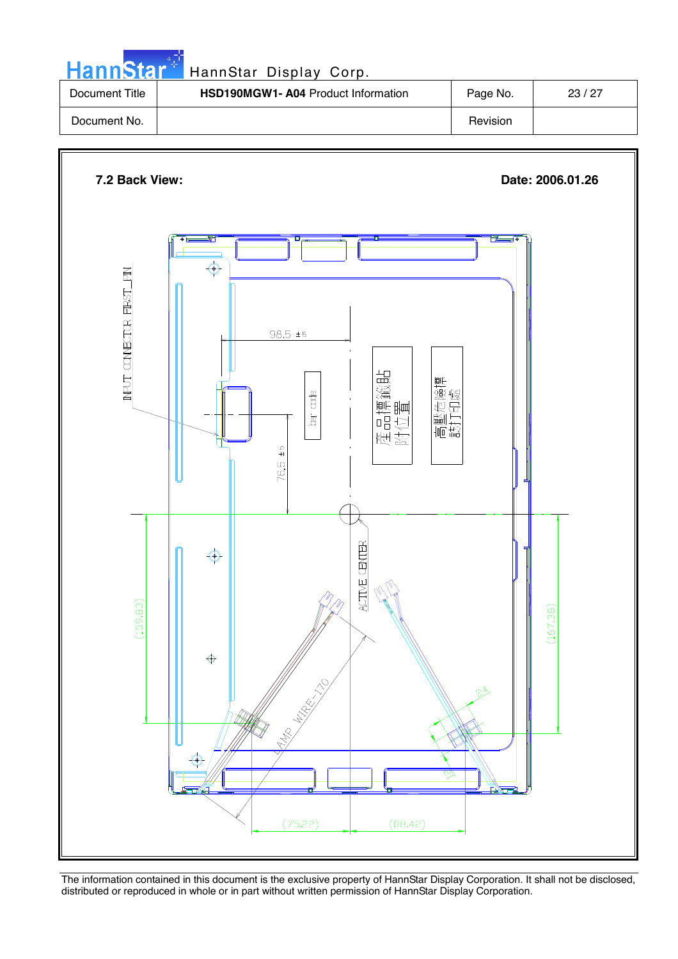| <b>HannStar*</b> | HannStar Display Corp.                    |          |       |
|------------------|-------------------------------------------|----------|-------|
| Document Title   | <b>HSD190MGW1-A04 Product Information</b> | Page No. | 23/27 |
| Document No.     |                                           | Revision |       |

n all

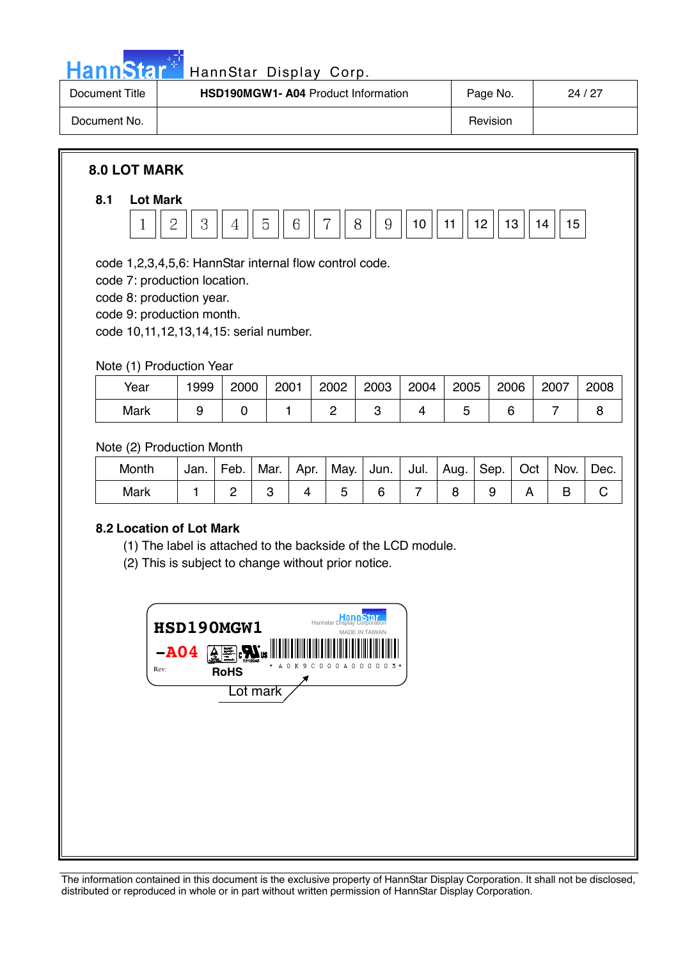

# HannStar Display Corp.

| Document Title | <b>HSD190MGW1-A04 Product Information</b> | Page No. | 24/27 |
|----------------|-------------------------------------------|----------|-------|
| Document No.   |                                           | Revision |       |

# **8.0 LOT MARK**

# **8.1 Lot Mark**



code 1,2,3,4,5,6: HannStar internal flow control code.

code 7: production location.

code 8: production year.

code 9: production month.

code 10,11,12,13,14,15: serial number.

Note (1) Production Year

| Year | 1999 | 2000 | 2001 | 2002 | 2003 | 2004 | 2005 | 2006 | 2007 | 2008 |
|------|------|------|------|------|------|------|------|------|------|------|
| Mark |      |      |      |      |      |      |      |      |      |      |

Note (2) Production Month

| Month | Jan. | Feb. | Mar. | Apr. | .   May.   Jun. |  | Jul.   Aug. | Sep.   Oct | Nov. | Dec. |
|-------|------|------|------|------|-----------------|--|-------------|------------|------|------|
| Mark  |      |      |      |      |                 |  |             |            |      |      |

# **8.2 Location of Lot Mark**

(1) The label is attached to the backside of the LCD module.

(2) This is subject to change without prior notice.

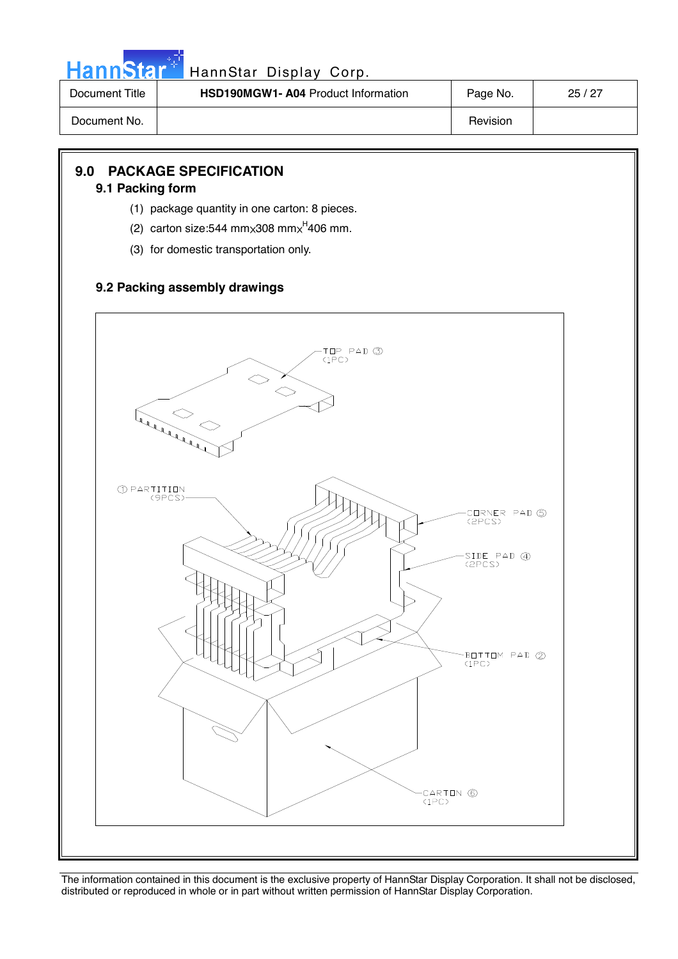

| Document Title | <b>HSD190MGW1-A04 Product Information</b> | Page No. | 25/27 |
|----------------|-------------------------------------------|----------|-------|
| Document No.   |                                           | Revision |       |

# **9.0 PACKAGE SPECIFICATION**

#### **9.1 Packing form**

- (1) package quantity in one carton: 8 pieces.
- (2) carton size:544 mm $\times$ 308 mm $\times$ <sup>H</sup>406 mm.
- (3) for domestic transportation only.

# **9.2 Packing assembly drawings**

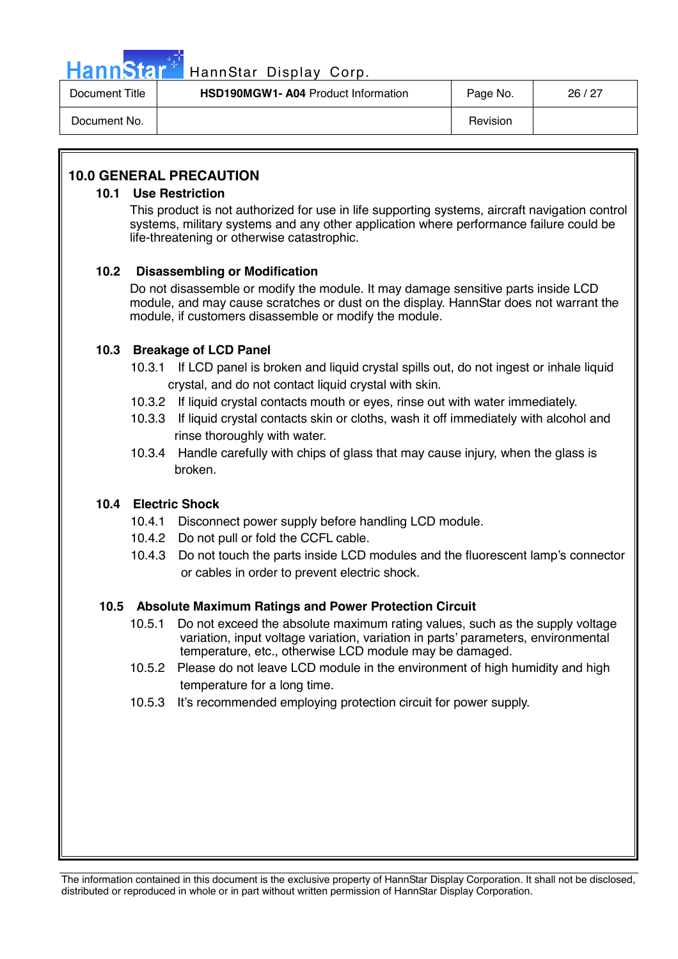

| Document Title | <b>HSD190MGW1- A04 Product Information</b> | Page No. | 26/27 |
|----------------|--------------------------------------------|----------|-------|
| Document No.   |                                            | Revision |       |

# **10.0 GENERAL PRECAUTION**

## **10.1 Use Restriction**

This product is not authorized for use in life supporting systems, aircraft navigation control systems, military systems and any other application where performance failure could be life-threatening or otherwise catastrophic.

# **10.2 Disassembling or Modification**

Do not disassemble or modify the module. It may damage sensitive parts inside LCD module, and may cause scratches or dust on the display. HannStar does not warrant the module, if customers disassemble or modify the module.

# **10.3 Breakage of LCD Panel**

- 10.3.1 If LCD panel is broken and liquid crystal spills out, do not ingest or inhale liquid crystal, and do not contact liquid crystal with skin.
- 10.3.2 If liquid crystal contacts mouth or eyes, rinse out with water immediately.
- 10.3.3 If liquid crystal contacts skin or cloths, wash it off immediately with alcohol and rinse thoroughly with water.
- 10.3.4 Handle carefully with chips of glass that may cause injury, when the glass is broken.

# **10.4 Electric Shock**

- 10.4.1 Disconnect power supply before handling LCD module.
- 10.4.2 Do not pull or fold the CCFL cable.
- 10.4.3 Do not touch the parts inside LCD modules and the fluorescent lamp's connector or cables in order to prevent electric shock.

## **10.5 Absolute Maximum Ratings and Power Protection Circuit**

- 10.5.1 Do not exceed the absolute maximum rating values, such as the supply voltage variation, input voltage variation, variation in parts' parameters, environmental temperature, etc., otherwise LCD module may be damaged.
- 10.5.2 Please do not leave LCD module in the environment of high humidity and high temperature for a long time.
- 10.5.3 It's recommended employing protection circuit for power supply.